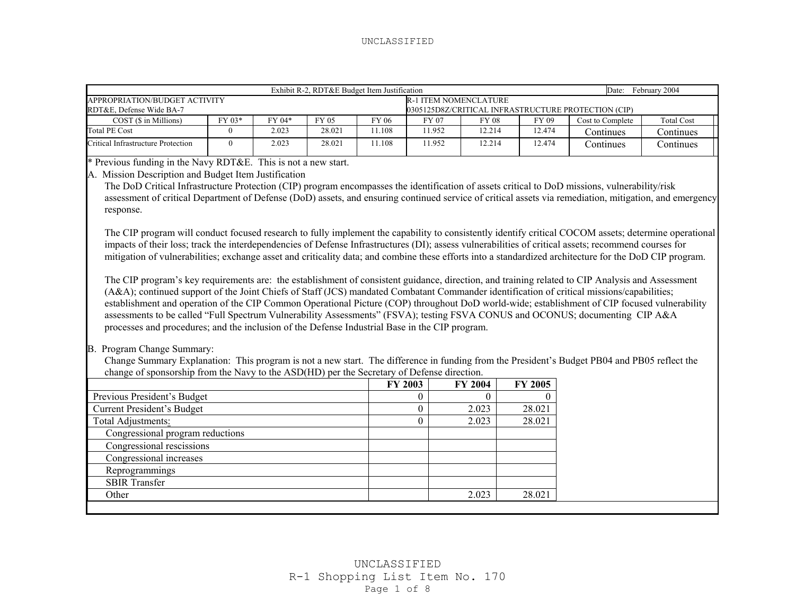|                                                                                                                                                                                                                                                                                                                                                                                                                                                                                                                                                                                                                                                                                                                                                                                                                                                                                                                                                                                                                                                                                                                                                                                                                                                                                                                                                                                                                                                |                           |       | Date: February 2004 |                              |                |          |          |                                                     |                   |  |
|------------------------------------------------------------------------------------------------------------------------------------------------------------------------------------------------------------------------------------------------------------------------------------------------------------------------------------------------------------------------------------------------------------------------------------------------------------------------------------------------------------------------------------------------------------------------------------------------------------------------------------------------------------------------------------------------------------------------------------------------------------------------------------------------------------------------------------------------------------------------------------------------------------------------------------------------------------------------------------------------------------------------------------------------------------------------------------------------------------------------------------------------------------------------------------------------------------------------------------------------------------------------------------------------------------------------------------------------------------------------------------------------------------------------------------------------|---------------------------|-------|---------------------|------------------------------|----------------|----------|----------|-----------------------------------------------------|-------------------|--|
| APPROPRIATION/BUDGET ACTIVITY                                                                                                                                                                                                                                                                                                                                                                                                                                                                                                                                                                                                                                                                                                                                                                                                                                                                                                                                                                                                                                                                                                                                                                                                                                                                                                                                                                                                                  |                           |       |                     | <b>R-1 ITEM NOMENCLATURE</b> |                |          |          |                                                     |                   |  |
| RDT&E, Defense Wide BA-7                                                                                                                                                                                                                                                                                                                                                                                                                                                                                                                                                                                                                                                                                                                                                                                                                                                                                                                                                                                                                                                                                                                                                                                                                                                                                                                                                                                                                       |                           |       |                     | FY 06                        |                |          |          | 0305125D8Z/CRITICAL INFRASTRUCTURE PROTECTION (CIP) |                   |  |
| COST (\$ in Millions)                                                                                                                                                                                                                                                                                                                                                                                                                                                                                                                                                                                                                                                                                                                                                                                                                                                                                                                                                                                                                                                                                                                                                                                                                                                                                                                                                                                                                          | FY 03*<br>FY 04*<br>FY 05 |       |                     |                              | FY 07          | FY 08    | FY 09    | Cost to Complete                                    | <b>Total Cost</b> |  |
| <b>Total PE Cost</b>                                                                                                                                                                                                                                                                                                                                                                                                                                                                                                                                                                                                                                                                                                                                                                                                                                                                                                                                                                                                                                                                                                                                                                                                                                                                                                                                                                                                                           | $\mathbf{0}$              | 2.023 | 28.021              | 11.108                       | 11.952         | 12.214   | 12.474   | Continues                                           | Continues         |  |
| Critical Infrastructure Protection<br>2.023<br>28.021<br>$\mathbf{0}$                                                                                                                                                                                                                                                                                                                                                                                                                                                                                                                                                                                                                                                                                                                                                                                                                                                                                                                                                                                                                                                                                                                                                                                                                                                                                                                                                                          |                           |       |                     |                              | 11.952         | 12.214   | 12.474   | Continues                                           | Continues         |  |
| * Previous funding in the Navy RDT&E. This is not a new start.                                                                                                                                                                                                                                                                                                                                                                                                                                                                                                                                                                                                                                                                                                                                                                                                                                                                                                                                                                                                                                                                                                                                                                                                                                                                                                                                                                                 |                           |       |                     |                              |                |          |          |                                                     |                   |  |
| A. Mission Description and Budget Item Justification<br>The DoD Critical Infrastructure Protection (CIP) program encompasses the identification of assets critical to DoD missions, vulnerability/risk<br>assessment of critical Department of Defense (DoD) assets, and ensuring continued service of critical assets via remediation, mitigation, and emergency<br>response.<br>The CIP program will conduct focused research to fully implement the capability to consistently identify critical COCOM assets; determine operational<br>impacts of their loss; track the interdependencies of Defense Infrastructures (DI); assess vulnerabilities of critical assets; recommend courses for<br>mitigation of vulnerabilities; exchange asset and criticality data; and combine these efforts into a standardized architecture for the DoD CIP program.<br>The CIP program's key requirements are: the establishment of consistent guidance, direction, and training related to CIP Analysis and Assessment<br>(A&A); continued support of the Joint Chiefs of Staff (JCS) mandated Combatant Commander identification of critical missions/capabilities;<br>establishment and operation of the CIP Common Operational Picture (COP) throughout DoD world-wide; establishment of CIP focused vulnerability<br>assessments to be called "Full Spectrum Vulnerability Assessments" (FSVA); testing FSVA CONUS and OCONUS; documenting CIP A&A |                           |       |                     |                              |                |          |          |                                                     |                   |  |
| processes and procedures; and the inclusion of the Defense Industrial Base in the CIP program.<br>B. Program Change Summary:<br>Change Summary Explanation: This program is not a new start. The difference in funding from the President's Budget PB04 and PB05 reflect the                                                                                                                                                                                                                                                                                                                                                                                                                                                                                                                                                                                                                                                                                                                                                                                                                                                                                                                                                                                                                                                                                                                                                                   |                           |       |                     |                              |                |          |          |                                                     |                   |  |
| change of sponsorship from the Navy to the ASD(HD) per the Secretary of Defense direction.                                                                                                                                                                                                                                                                                                                                                                                                                                                                                                                                                                                                                                                                                                                                                                                                                                                                                                                                                                                                                                                                                                                                                                                                                                                                                                                                                     |                           |       |                     |                              |                |          |          |                                                     |                   |  |
|                                                                                                                                                                                                                                                                                                                                                                                                                                                                                                                                                                                                                                                                                                                                                                                                                                                                                                                                                                                                                                                                                                                                                                                                                                                                                                                                                                                                                                                |                           |       |                     |                              |                |          |          |                                                     |                   |  |
|                                                                                                                                                                                                                                                                                                                                                                                                                                                                                                                                                                                                                                                                                                                                                                                                                                                                                                                                                                                                                                                                                                                                                                                                                                                                                                                                                                                                                                                |                           |       |                     |                              | FY 2003        | FY 2004  | FY 2005  |                                                     |                   |  |
| Previous President's Budget                                                                                                                                                                                                                                                                                                                                                                                                                                                                                                                                                                                                                                                                                                                                                                                                                                                                                                                                                                                                                                                                                                                                                                                                                                                                                                                                                                                                                    |                           |       |                     |                              | 0              | $\Omega$ | $\Omega$ |                                                     |                   |  |
| <b>Current President's Budget</b>                                                                                                                                                                                                                                                                                                                                                                                                                                                                                                                                                                                                                                                                                                                                                                                                                                                                                                                                                                                                                                                                                                                                                                                                                                                                                                                                                                                                              |                           |       |                     |                              | $\theta$       | 2.023    | 28.021   |                                                     |                   |  |
| Total Adjustments:                                                                                                                                                                                                                                                                                                                                                                                                                                                                                                                                                                                                                                                                                                                                                                                                                                                                                                                                                                                                                                                                                                                                                                                                                                                                                                                                                                                                                             |                           |       |                     |                              | $\overline{0}$ | 2.023    | 28.021   |                                                     |                   |  |
| Congressional program reductions                                                                                                                                                                                                                                                                                                                                                                                                                                                                                                                                                                                                                                                                                                                                                                                                                                                                                                                                                                                                                                                                                                                                                                                                                                                                                                                                                                                                               |                           |       |                     |                              |                |          |          |                                                     |                   |  |
| Congressional rescissions                                                                                                                                                                                                                                                                                                                                                                                                                                                                                                                                                                                                                                                                                                                                                                                                                                                                                                                                                                                                                                                                                                                                                                                                                                                                                                                                                                                                                      |                           |       |                     |                              |                |          |          |                                                     |                   |  |
| Congressional increases                                                                                                                                                                                                                                                                                                                                                                                                                                                                                                                                                                                                                                                                                                                                                                                                                                                                                                                                                                                                                                                                                                                                                                                                                                                                                                                                                                                                                        |                           |       |                     |                              |                |          |          |                                                     |                   |  |
| Reprogrammings                                                                                                                                                                                                                                                                                                                                                                                                                                                                                                                                                                                                                                                                                                                                                                                                                                                                                                                                                                                                                                                                                                                                                                                                                                                                                                                                                                                                                                 |                           |       |                     |                              |                |          |          |                                                     |                   |  |
| <b>SBIR Transfer</b>                                                                                                                                                                                                                                                                                                                                                                                                                                                                                                                                                                                                                                                                                                                                                                                                                                                                                                                                                                                                                                                                                                                                                                                                                                                                                                                                                                                                                           |                           |       |                     |                              |                |          |          |                                                     |                   |  |
| Other                                                                                                                                                                                                                                                                                                                                                                                                                                                                                                                                                                                                                                                                                                                                                                                                                                                                                                                                                                                                                                                                                                                                                                                                                                                                                                                                                                                                                                          |                           |       |                     |                              |                | 2.023    | 28.021   |                                                     |                   |  |
|                                                                                                                                                                                                                                                                                                                                                                                                                                                                                                                                                                                                                                                                                                                                                                                                                                                                                                                                                                                                                                                                                                                                                                                                                                                                                                                                                                                                                                                |                           |       |                     |                              |                |          |          |                                                     |                   |  |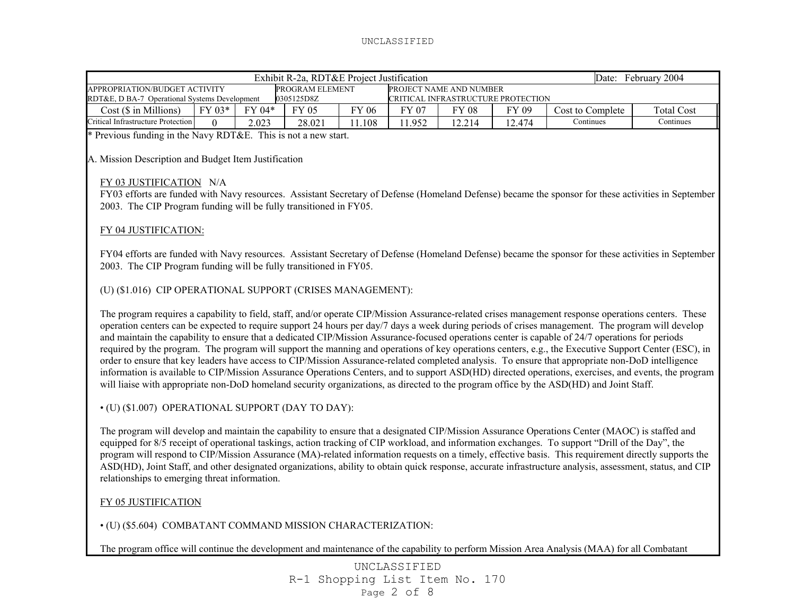| Date: February 2004<br>Exhibit R-2a, RDT&E Project Justification                                                                                                                                                                                                                                                                                                                                                                                                                                                                                                                                                                                                                                                                                                                                                                                                                                                                                                                                                                                                              |                                                      |        |            |        |        |              |                                    |                  |                   |  |
|-------------------------------------------------------------------------------------------------------------------------------------------------------------------------------------------------------------------------------------------------------------------------------------------------------------------------------------------------------------------------------------------------------------------------------------------------------------------------------------------------------------------------------------------------------------------------------------------------------------------------------------------------------------------------------------------------------------------------------------------------------------------------------------------------------------------------------------------------------------------------------------------------------------------------------------------------------------------------------------------------------------------------------------------------------------------------------|------------------------------------------------------|--------|------------|--------|--------|--------------|------------------------------------|------------------|-------------------|--|
| APPROPRIATION/BUDGET ACTIVITY<br>PROGRAM ELEMENT<br>PROJECT NAME AND NUMBER                                                                                                                                                                                                                                                                                                                                                                                                                                                                                                                                                                                                                                                                                                                                                                                                                                                                                                                                                                                                   |                                                      |        |            |        |        |              |                                    |                  |                   |  |
| RDT&E, D BA-7 Operational Systems Development                                                                                                                                                                                                                                                                                                                                                                                                                                                                                                                                                                                                                                                                                                                                                                                                                                                                                                                                                                                                                                 |                                                      |        | 0305125D8Z |        |        |              | CRITICAL INFRASTRUCTURE PROTECTION |                  |                   |  |
| Cost (\$ in Millions)                                                                                                                                                                                                                                                                                                                                                                                                                                                                                                                                                                                                                                                                                                                                                                                                                                                                                                                                                                                                                                                         | FY 03*                                               | FY 04* | FY 05      | FY 06  | FY 07  | <b>FY 08</b> | FY 09                              | Cost to Complete | <b>Total Cost</b> |  |
| Critical Infrastructure Protection                                                                                                                                                                                                                                                                                                                                                                                                                                                                                                                                                                                                                                                                                                                                                                                                                                                                                                                                                                                                                                            | $\Omega$                                             | 2.023  | 28.021     | 11.108 | 11.952 | 12.214       | 12.474                             | Continues        | Continues         |  |
| * Previous funding in the Navy RDT&E. This is not a new start.                                                                                                                                                                                                                                                                                                                                                                                                                                                                                                                                                                                                                                                                                                                                                                                                                                                                                                                                                                                                                |                                                      |        |            |        |        |              |                                    |                  |                   |  |
|                                                                                                                                                                                                                                                                                                                                                                                                                                                                                                                                                                                                                                                                                                                                                                                                                                                                                                                                                                                                                                                                               | A. Mission Description and Budget Item Justification |        |            |        |        |              |                                    |                  |                   |  |
| FY 03 JUSTIFICATION N/A                                                                                                                                                                                                                                                                                                                                                                                                                                                                                                                                                                                                                                                                                                                                                                                                                                                                                                                                                                                                                                                       |                                                      |        |            |        |        |              |                                    |                  |                   |  |
| FY03 efforts are funded with Navy resources. Assistant Secretary of Defense (Homeland Defense) became the sponsor for these activities in September<br>2003. The CIP Program funding will be fully transitioned in FY05.                                                                                                                                                                                                                                                                                                                                                                                                                                                                                                                                                                                                                                                                                                                                                                                                                                                      |                                                      |        |            |        |        |              |                                    |                  |                   |  |
| FY 04 JUSTIFICATION:                                                                                                                                                                                                                                                                                                                                                                                                                                                                                                                                                                                                                                                                                                                                                                                                                                                                                                                                                                                                                                                          |                                                      |        |            |        |        |              |                                    |                  |                   |  |
| FY04 efforts are funded with Navy resources. Assistant Secretary of Defense (Homeland Defense) became the sponsor for these activities in September<br>2003. The CIP Program funding will be fully transitioned in FY05.                                                                                                                                                                                                                                                                                                                                                                                                                                                                                                                                                                                                                                                                                                                                                                                                                                                      |                                                      |        |            |        |        |              |                                    |                  |                   |  |
| (U) (\$1.016) CIP OPERATIONAL SUPPORT (CRISES MANAGEMENT):                                                                                                                                                                                                                                                                                                                                                                                                                                                                                                                                                                                                                                                                                                                                                                                                                                                                                                                                                                                                                    |                                                      |        |            |        |        |              |                                    |                  |                   |  |
| The program requires a capability to field, staff, and/or operate CIP/Mission Assurance-related crises management response operations centers. These<br>operation centers can be expected to require support 24 hours per day/7 days a week during periods of crises management. The program will develop<br>and maintain the capability to ensure that a dedicated CIP/Mission Assurance-focused operations center is capable of 24/7 operations for periods<br>required by the program. The program will support the manning and operations of key operations centers, e.g., the Executive Support Center (ESC), in<br>order to ensure that key leaders have access to CIP/Mission Assurance-related completed analysis. To ensure that appropriate non-DoD intelligence<br>information is available to CIP/Mission Assurance Operations Centers, and to support ASD(HD) directed operations, exercises, and events, the program<br>will liaise with appropriate non-DoD homeland security organizations, as directed to the program office by the ASD(HD) and Joint Staff. |                                                      |        |            |        |        |              |                                    |                  |                   |  |
| • (U) (\$1.007) OPERATIONAL SUPPORT (DAY TO DAY):                                                                                                                                                                                                                                                                                                                                                                                                                                                                                                                                                                                                                                                                                                                                                                                                                                                                                                                                                                                                                             |                                                      |        |            |        |        |              |                                    |                  |                   |  |
| The program will develop and maintain the capability to ensure that a designated CIP/Mission Assurance Operations Center (MAOC) is staffed and<br>equipped for 8/5 receipt of operational taskings, action tracking of CIP workload, and information exchanges. To support "Drill of the Day", the                                                                                                                                                                                                                                                                                                                                                                                                                                                                                                                                                                                                                                                                                                                                                                            |                                                      |        |            |        |        |              |                                    |                  |                   |  |

program will respond to CIP/Mission Assurance (MA)-related information requests on a timely, effective basis. This requirement directly supports the ASD(HD), Joint Staff, and other designated organizations, ability to obtain quick response, accurate infrastructure analysis, assessment, status, and CIP relationships to emerging threat information.

# FY 05 JUSTIFICATION

• (U) (\$5.604) COMBATANT COMMAND MISSION CHARACTERIZATION:

The program office will continue the development and maintenance of the capability to perform Mission Area Analysis (MAA) for all Combatant

UNCLASSIFIED R-1 Shopping List Item No. 170 Page 2 of 8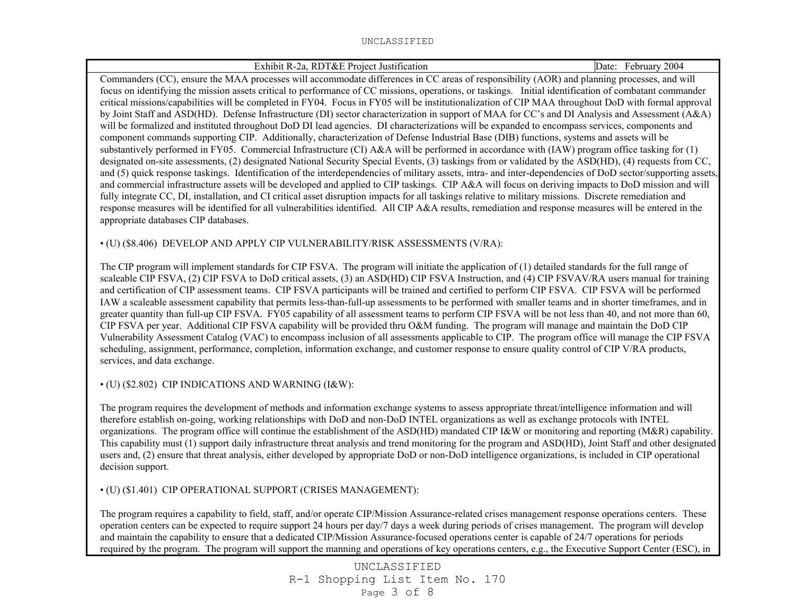| Exhibit R-2a, RDT&E Project Justification                                                                                                                   | Date: February 2004 |
|-------------------------------------------------------------------------------------------------------------------------------------------------------------|---------------------|
| Commanders (CC), ensure the MAA processes will accommodate differences in CC areas of responsibility (AOR) and planning processes, and will                 |                     |
| focus on identifying the mission assets critical to performance of CC missions, operations, or taskings. Initial identification of combatant commander      |                     |
| critical missions/capabilities will be completed in FY04. Focus in FY05 will be institutionalization of CIP MAA throughout DoD with formal approval         |                     |
| by Joint Staff and ASD(HD). Defense Infrastructure (DI) sector characterization in support of MAA for CC's and DI Analysis and Assessment (A&A)             |                     |
| will be formalized and instituted throughout DoD DI lead agencies. DI characterizations will be expanded to encompass services, components and              |                     |
| component commands supporting CIP. Additionally, characterization of Defense Industrial Base (DIB) functions, systems and assets will be                    |                     |
| substantively performed in FY05. Commercial Infrastructure (CI) A&A will be performed in accordance with (IAW) program office tasking for (1)               |                     |
| designated on-site assessments, (2) designated National Security Special Events, (3) taskings from or validated by the ASD(HD), (4) requests from CC,       |                     |
| and (5) quick response taskings. Identification of the interdependencies of military assets, intra- and inter-dependencies of DoD sector/supporting assets, |                     |
| and commercial infrastructure assets will be developed and applied to CIP taskings. CIP A&A will focus on deriving impacts to DoD mission and will          |                     |
| fully integrate CC, DI, installation, and CI critical asset disruption impacts for all taskings relative to military missions. Discrete remediation and     |                     |
| response measures will be identified for all vulnerabilities identified. All CIP A&A results, remediation and response measures will be entered in the      |                     |
| appropriate databases CIP databases.                                                                                                                        |                     |
| • (U) (\$8.406) DEVELOP AND APPLY CIP VULNERABILITY/RISK ASSESSMENTS (V/RA):                                                                                |                     |
|                                                                                                                                                             |                     |
| The CIP program will implement standards for CIP FSVA. The program will initiate the application of (1) detailed standards for the full range of            |                     |
| scaleable CIP FSVA, (2) CIP FSVA to DoD critical assets, (3) an ASD(HD) CIP FSVA Instruction, and (4) CIP FSVAV/RA users manual for training                |                     |
| and certification of CIP assessment teams. CIP FSVA participants will be trained and certified to perform CIP FSVA. CIP FSVA will be performed              |                     |
| IAW a scaleable assessment capability that permits less-than-full-up assessments to be performed with smaller teams and in shorter timeframes, and in       |                     |
| greater quantity than full-up CIP FSVA. FY05 capability of all assessment teams to perform CIP FSVA will be not less than 40, and not more than 60,         |                     |
| CIP FSVA per year. Additional CIP FSVA capability will be provided thru O&M funding. The program will manage and maintain the DoD CIP                       |                     |
| Vulnerability Assessment Catalog (VAC) to encompass inclusion of all assessments applicable to CIP. The program office will manage the CIP FSVA             |                     |
| scheduling, assignment, performance, completion, information exchange, and customer response to ensure quality control of CIP V/RA products,                |                     |

• (U) (\$2.802) CIP INDICATIONS AND WARNING (I&W):

services, and data exchange.

The program requires the development of methods and information exchange systems to assess appropriate threat/intelligence information and will therefore establish on-going, working relationships with DoD and non-DoD INTEL organizations as well as exchange protocols with INTEL organizations. The program office will continue the establishment of the ASD(HD) mandated CIP I&W or monitoring and reporting (M&R) capability. This capability must (1) support daily infrastructure threat analysis and trend monitoring for the program and ASD(HD), Joint Staff and other designated users and, (2) ensure that threat analysis, either developed by appropriate DoD or non-DoD intelligence organizations, is included in CIP operational decision support.

• (U) (\$1.401) CIP OPERATIONAL SUPPORT (CRISES MANAGEMENT):

The program requires a capability to field, staff, and/or operate CIP/Mission Assurance-related crises management response operations centers. These operation centers can be expected to require support 24 hours per day/7 days a week during periods of crises management. The program will develop and maintain the capability to ensure that a dedicated CIP/Mission Assurance-focused operations center is capable of 24/7 operations for periods required by the program. The program will support the manning and operations of key operations centers, e.g., the Executive Support Center (ESC), in

> UNCLASSIFIED R-1 Shopping List Item No. 170 Page 3 of 8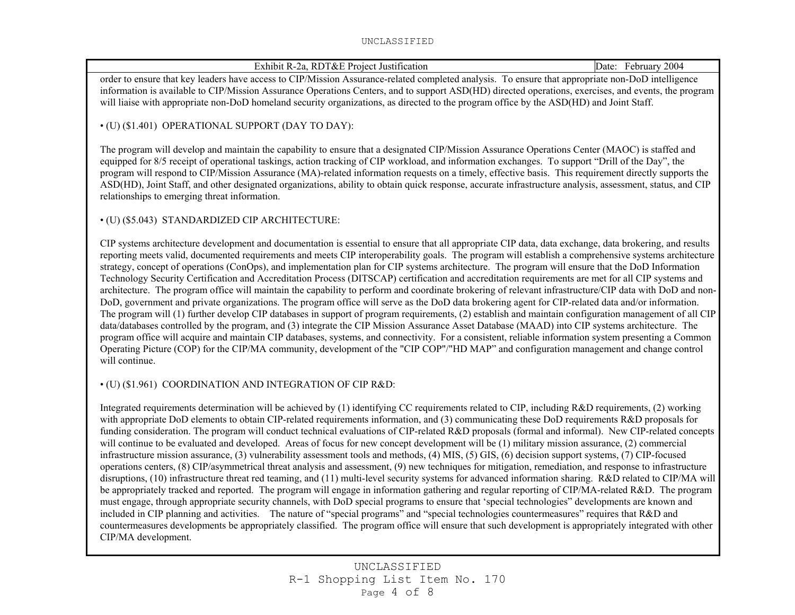| Exhibit R-2a, RDT&E Project Justification                                                                                                                                                                                                                                                                                                                                                                                                                                                                                                                                                                                                                                                                                                                                                                                                                                                                                                                                                                                                                                                                                                                                                                                                                                                                                                                                                                                                                                                                                                                                                                                                                                                                                 | Date: February 2004 |
|---------------------------------------------------------------------------------------------------------------------------------------------------------------------------------------------------------------------------------------------------------------------------------------------------------------------------------------------------------------------------------------------------------------------------------------------------------------------------------------------------------------------------------------------------------------------------------------------------------------------------------------------------------------------------------------------------------------------------------------------------------------------------------------------------------------------------------------------------------------------------------------------------------------------------------------------------------------------------------------------------------------------------------------------------------------------------------------------------------------------------------------------------------------------------------------------------------------------------------------------------------------------------------------------------------------------------------------------------------------------------------------------------------------------------------------------------------------------------------------------------------------------------------------------------------------------------------------------------------------------------------------------------------------------------------------------------------------------------|---------------------|
| order to ensure that key leaders have access to CIP/Mission Assurance-related completed analysis. To ensure that appropriate non-DoD intelligence                                                                                                                                                                                                                                                                                                                                                                                                                                                                                                                                                                                                                                                                                                                                                                                                                                                                                                                                                                                                                                                                                                                                                                                                                                                                                                                                                                                                                                                                                                                                                                         |                     |
| information is available to CIP/Mission Assurance Operations Centers, and to support ASD(HD) directed operations, exercises, and events, the program<br>will liaise with appropriate non-DoD homeland security organizations, as directed to the program office by the ASD(HD) and Joint Staff.                                                                                                                                                                                                                                                                                                                                                                                                                                                                                                                                                                                                                                                                                                                                                                                                                                                                                                                                                                                                                                                                                                                                                                                                                                                                                                                                                                                                                           |                     |
| • (U) (\$1.401) OPERATIONAL SUPPORT (DAY TO DAY):                                                                                                                                                                                                                                                                                                                                                                                                                                                                                                                                                                                                                                                                                                                                                                                                                                                                                                                                                                                                                                                                                                                                                                                                                                                                                                                                                                                                                                                                                                                                                                                                                                                                         |                     |
| The program will develop and maintain the capability to ensure that a designated CIP/Mission Assurance Operations Center (MAOC) is staffed and<br>equipped for 8/5 receipt of operational taskings, action tracking of CIP workload, and information exchanges. To support "Drill of the Day", the<br>program will respond to CIP/Mission Assurance (MA)-related information requests on a timely, effective basis. This requirement directly supports the<br>ASD(HD), Joint Staff, and other designated organizations, ability to obtain quick response, accurate infrastructure analysis, assessment, status, and CIP<br>relationships to emerging threat information.                                                                                                                                                                                                                                                                                                                                                                                                                                                                                                                                                                                                                                                                                                                                                                                                                                                                                                                                                                                                                                                  |                     |
| · (U) (\$5.043) STANDARDIZED CIP ARCHITECTURE:                                                                                                                                                                                                                                                                                                                                                                                                                                                                                                                                                                                                                                                                                                                                                                                                                                                                                                                                                                                                                                                                                                                                                                                                                                                                                                                                                                                                                                                                                                                                                                                                                                                                            |                     |
| CIP systems architecture development and documentation is essential to ensure that all appropriate CIP data, data exchange, data brokering, and results<br>reporting meets valid, documented requirements and meets CIP interoperability goals. The program will establish a comprehensive systems architecture<br>strategy, concept of operations (ConOps), and implementation plan for CIP systems architecture. The program will ensure that the DoD Information<br>Technology Security Certification and Accreditation Process (DITSCAP) certification and accreditation requirements are met for all CIP systems and<br>architecture. The program office will maintain the capability to perform and coordinate brokering of relevant infrastructure/CIP data with DoD and non-<br>DoD, government and private organizations. The program office will serve as the DoD data brokering agent for CIP-related data and/or information.<br>The program will (1) further develop CIP databases in support of program requirements, (2) establish and maintain configuration management of all CIP<br>data/databases controlled by the program, and (3) integrate the CIP Mission Assurance Asset Database (MAAD) into CIP systems architecture. The<br>program office will acquire and maintain CIP databases, systems, and connectivity. For a consistent, reliable information system presenting a Common<br>Operating Picture (COP) for the CIP/MA community, development of the "CIP COP"/"HD MAP" and configuration management and change control<br>will continue.                                                                                                                                                 |                     |
| • (U) (\$1.961) COORDINATION AND INTEGRATION OF CIP R&D:                                                                                                                                                                                                                                                                                                                                                                                                                                                                                                                                                                                                                                                                                                                                                                                                                                                                                                                                                                                                                                                                                                                                                                                                                                                                                                                                                                                                                                                                                                                                                                                                                                                                  |                     |
| Integrated requirements determination will be achieved by (1) identifying CC requirements related to CIP, including R&D requirements, (2) working<br>with appropriate DoD elements to obtain CIP-related requirements information, and (3) communicating these DoD requirements R&D proposals for<br>funding consideration. The program will conduct technical evaluations of CIP-related R&D proposals (formal and informal). New CIP-related concepts<br>will continue to be evaluated and developed. Areas of focus for new concept development will be (1) military mission assurance, (2) commercial<br>infrastructure mission assurance, (3) vulnerability assessment tools and methods, (4) MIS, (5) GIS, (6) decision support systems, (7) CIP-focused<br>operations centers, (8) CIP/asymmetrical threat analysis and assessment, (9) new techniques for mitigation, remediation, and response to infrastructure<br>disruptions, (10) infrastructure threat red teaming, and (11) multi-level security systems for advanced information sharing. R&D related to CIP/MA will<br>be appropriately tracked and reported. The program will engage in information gathering and regular reporting of CIP/MA-related R&D. The program<br>must engage, through appropriate security channels, with DoD special programs to ensure that 'special technologies'' developments are known and<br>included in CIP planning and activities. The nature of "special programs" and "special technologies countermeasures" requires that R&D and<br>countermeasures developments be appropriately classified. The program office will ensure that such development is appropriately integrated with other<br>CIP/MA development. |                     |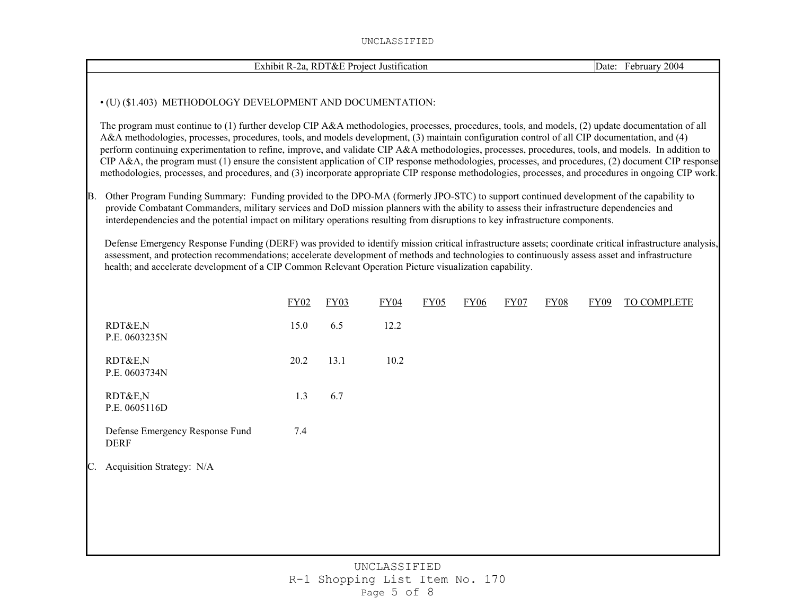|     | Exhibit R-2a, RDT&E Project Justification                                                                                                                                                                                                                                                                                                                                                                                                                                                                                                                                                                                                                                                                                                                                |      | Date: February 2004 |                      |                  |             |      |             |             |             |  |
|-----|--------------------------------------------------------------------------------------------------------------------------------------------------------------------------------------------------------------------------------------------------------------------------------------------------------------------------------------------------------------------------------------------------------------------------------------------------------------------------------------------------------------------------------------------------------------------------------------------------------------------------------------------------------------------------------------------------------------------------------------------------------------------------|------|---------------------|----------------------|------------------|-------------|------|-------------|-------------|-------------|--|
|     | • (U) (\$1.403) METHODOLOGY DEVELOPMENT AND DOCUMENTATION:                                                                                                                                                                                                                                                                                                                                                                                                                                                                                                                                                                                                                                                                                                               |      |                     |                      |                  |             |      |             |             |             |  |
|     | The program must continue to (1) further develop CIP A&A methodologies, processes, procedures, tools, and models, (2) update documentation of all<br>A&A methodologies, processes, procedures, tools, and models development, (3) maintain configuration control of all CIP documentation, and (4)<br>perform continuing experimentation to refine, improve, and validate CIP A&A methodologies, processes, procedures, tools, and models. In addition to<br>CIP A&A, the program must (1) ensure the consistent application of CIP response methodologies, processes, and procedures, (2) document CIP response<br>methodologies, processes, and procedures, and (3) incorporate appropriate CIP response methodologies, processes, and procedures in ongoing CIP work. |      |                     |                      |                  |             |      |             |             |             |  |
| IB. | Other Program Funding Summary: Funding provided to the DPO-MA (formerly JPO-STC) to support continued development of the capability to<br>provide Combatant Commanders, military services and DoD mission planners with the ability to assess their infrastructure dependencies and<br>interdependencies and the potential impact on military operations resulting from disruptions to key infrastructure components.                                                                                                                                                                                                                                                                                                                                                    |      |                     |                      |                  |             |      |             |             |             |  |
|     | Defense Emergency Response Funding (DERF) was provided to identify mission critical infrastructure assets; coordinate critical infrastructure analysis,<br>assessment, and protection recommendations; accelerate development of methods and technologies to continuously assess asset and infrastructure<br>health; and accelerate development of a CIP Common Relevant Operation Picture visualization capability.                                                                                                                                                                                                                                                                                                                                                     |      |                     |                      |                  |             |      |             |             |             |  |
|     |                                                                                                                                                                                                                                                                                                                                                                                                                                                                                                                                                                                                                                                                                                                                                                          | FY02 | FY03                | FY04                 | FY <sub>05</sub> | <b>FY06</b> | FY07 | <b>FY08</b> | <b>FY09</b> | TO COMPLETE |  |
|     | RDT&E,N<br>P.E. 0603235N                                                                                                                                                                                                                                                                                                                                                                                                                                                                                                                                                                                                                                                                                                                                                 | 15.0 | 6.5                 | 12.2                 |                  |             |      |             |             |             |  |
|     | RDT&E,N<br>P.E. 0603734N                                                                                                                                                                                                                                                                                                                                                                                                                                                                                                                                                                                                                                                                                                                                                 | 20.2 | 13.1                | 10.2                 |                  |             |      |             |             |             |  |
|     | RDT&E,N<br>P.E. 0605116D                                                                                                                                                                                                                                                                                                                                                                                                                                                                                                                                                                                                                                                                                                                                                 | 1.3  | 6.7                 |                      |                  |             |      |             |             |             |  |
|     | Defense Emergency Response Fund<br><b>DERF</b>                                                                                                                                                                                                                                                                                                                                                                                                                                                                                                                                                                                                                                                                                                                           | 7.4  |                     |                      |                  |             |      |             |             |             |  |
|     | Acquisition Strategy: N/A                                                                                                                                                                                                                                                                                                                                                                                                                                                                                                                                                                                                                                                                                                                                                |      |                     |                      |                  |             |      |             |             |             |  |
|     |                                                                                                                                                                                                                                                                                                                                                                                                                                                                                                                                                                                                                                                                                                                                                                          |      |                     |                      |                  |             |      |             |             |             |  |
|     |                                                                                                                                                                                                                                                                                                                                                                                                                                                                                                                                                                                                                                                                                                                                                                          |      |                     |                      |                  |             |      |             |             |             |  |
|     |                                                                                                                                                                                                                                                                                                                                                                                                                                                                                                                                                                                                                                                                                                                                                                          |      |                     | <b>IINCLASSTEIED</b> |                  |             |      |             |             |             |  |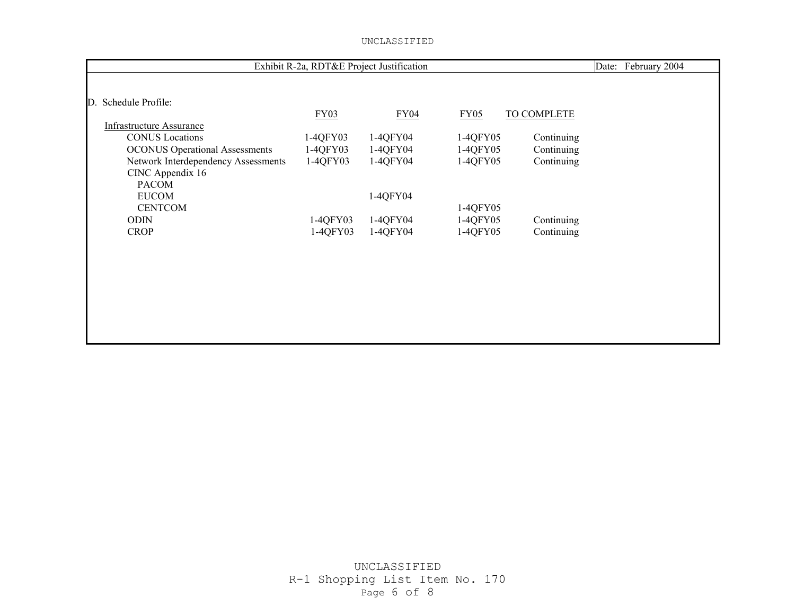| Exhibit R-2a, RDT&E Project Justification | Date:<br>February 2004 |             |          |             |  |
|-------------------------------------------|------------------------|-------------|----------|-------------|--|
|                                           |                        |             |          |             |  |
| Schedule Profile:<br>$\mathbb{D}$ .       |                        |             |          |             |  |
|                                           | FY03                   | <b>FY04</b> | FY05     | TO COMPLETE |  |
| <b>Infrastructure Assurance</b>           |                        |             |          |             |  |
| <b>CONUS</b> Locations                    | 1-4QFY03               | 1-4QFY04    | 1-4QFY05 | Continuing  |  |
| <b>OCONUS Operational Assessments</b>     | 1-4QFY03               | 1-4QFY04    | 1-4QFY05 | Continuing  |  |
| Network Interdependency Assessments       | 1-4QFY03               | 1-4QFY04    | 1-4QFY05 | Continuing  |  |
| CINC Appendix 16                          |                        |             |          |             |  |
| <b>PACOM</b>                              |                        |             |          |             |  |
| <b>EUCOM</b>                              |                        | 1-4QFY04    |          |             |  |
| <b>CENTCOM</b>                            |                        |             | 1-4QFY05 |             |  |
| <b>ODIN</b>                               | 1-4QFY03               | 1-4QFY04    | 1-4QFY05 | Continuing  |  |
| <b>CROP</b>                               | 1-4QFY03               | 1-4QFY04    | 1-4QFY05 | Continuing  |  |
|                                           |                        |             |          |             |  |
|                                           |                        |             |          |             |  |
|                                           |                        |             |          |             |  |
|                                           |                        |             |          |             |  |
|                                           |                        |             |          |             |  |
|                                           |                        |             |          |             |  |
|                                           |                        |             |          |             |  |
|                                           |                        |             |          |             |  |
|                                           |                        |             |          |             |  |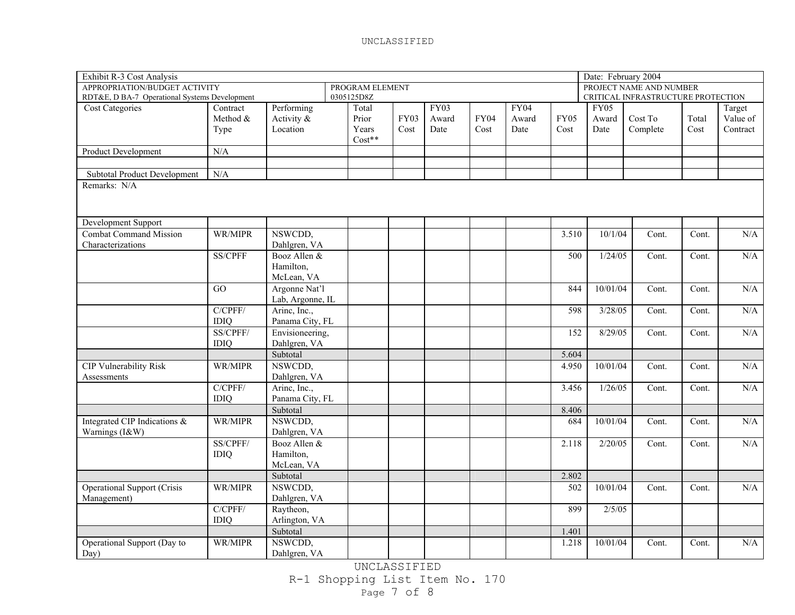| Exhibit R-3 Cost Analysis                     |                |                  |                 |             |             |             |       |             | Date: February 2004 |                                    |       |          |
|-----------------------------------------------|----------------|------------------|-----------------|-------------|-------------|-------------|-------|-------------|---------------------|------------------------------------|-------|----------|
| APPROPRIATION/BUDGET ACTIVITY                 |                |                  | PROGRAM ELEMENT |             |             |             |       |             |                     | PROJECT NAME AND NUMBER            |       |          |
| RDT&E, D BA-7 Operational Systems Development |                |                  | 0305125D8Z      |             |             |             |       |             |                     | CRITICAL INFRASTRUCTURE PROTECTION |       |          |
| <b>Cost Categories</b>                        | Contract       | Performing       | Total           |             | <b>FY03</b> |             | FY04  |             | <b>FY05</b>         |                                    |       | Target   |
|                                               | Method &       | Activity &       | Prior           | <b>FY03</b> | Award       | <b>FY04</b> | Award | <b>FY05</b> | Award               | Cost To                            | Total | Value of |
|                                               | Type           | Location         | Years           | Cost        | Date        | Cost        | Date  | Cost        | Date                | Complete                           | Cost  | Contract |
|                                               |                |                  | $Cost**$        |             |             |             |       |             |                     |                                    |       |          |
| <b>Product Development</b>                    | N/A            |                  |                 |             |             |             |       |             |                     |                                    |       |          |
|                                               |                |                  |                 |             |             |             |       |             |                     |                                    |       |          |
| <b>Subtotal Product Development</b>           | N/A            |                  |                 |             |             |             |       |             |                     |                                    |       |          |
| Remarks: N/A                                  |                |                  |                 |             |             |             |       |             |                     |                                    |       |          |
|                                               |                |                  |                 |             |             |             |       |             |                     |                                    |       |          |
|                                               |                |                  |                 |             |             |             |       |             |                     |                                    |       |          |
| Development Support                           |                |                  |                 |             |             |             |       |             |                     |                                    |       |          |
| <b>Combat Command Mission</b>                 | WR/MIPR        | NSWCDD,          |                 |             |             |             |       | 3.510       | 10/1/04             | Cont.                              | Cont. | N/A      |
| Characterizations                             |                | Dahlgren, VA     |                 |             |             |             |       |             |                     |                                    |       |          |
|                                               | <b>SS/CPFF</b> | Booz Allen &     |                 |             |             |             |       | 500         | 1/24/05             | Cont.                              | Cont. | N/A      |
|                                               |                | Hamilton,        |                 |             |             |             |       |             |                     |                                    |       |          |
|                                               |                | McLean, VA       |                 |             |             |             |       |             |                     |                                    |       |          |
|                                               | GO             | Argonne Nat'l    |                 |             |             |             |       | 844         | 10/01/04            | Cont.                              | Cont. | N/A      |
|                                               |                | Lab, Argonne, IL |                 |             |             |             |       |             |                     |                                    |       |          |
|                                               | C/CPFF/        | Arine, Inc.,     |                 |             |             |             |       | 598         | 3/28/05             | Cont.                              | Cont. | N/A      |
|                                               | <b>IDIQ</b>    | Panama City, FL  |                 |             |             |             |       |             |                     |                                    |       |          |
|                                               | SS/CPFF/       | Envisioneering,  |                 |             |             |             |       | 152         | 8/29/05             | Cont.                              | Cont. | N/A      |
|                                               | <b>IDIQ</b>    | Dahlgren, VA     |                 |             |             |             |       |             |                     |                                    |       |          |
|                                               |                | Subtotal         |                 |             |             |             |       | 5.604       |                     |                                    |       |          |
| <b>CIP Vulnerability Risk</b>                 | WR/MIPR        | NSWCDD,          |                 |             |             |             |       | 4.950       | 10/01/04            | Cont.                              | Cont. | N/A      |
| Assessments                                   |                | Dahlgren, VA     |                 |             |             |             |       |             |                     |                                    |       |          |
|                                               | C/CPFF/        | Arine, Inc.,     |                 |             |             |             |       | 3.456       | 1/26/05             | Cont.                              | Cont. | N/A      |
|                                               | <b>IDIQ</b>    | Panama City, FL  |                 |             |             |             |       |             |                     |                                    |       |          |
|                                               |                | Subtotal         |                 |             |             |             |       | 8.406       |                     |                                    |       |          |
| Integrated CIP Indications &                  | WR/MIPR        | NSWCDD,          |                 |             |             |             |       | 684         | 10/01/04            | Cont.                              | Cont. | N/A      |
| Warnings (I&W)                                |                | Dahlgren, VA     |                 |             |             |             |       |             |                     |                                    |       |          |
|                                               | SS/CPFF/       | Booz Allen &     |                 |             |             |             |       | 2.118       | 2/20/05             | Cont.                              | Cont. | N/A      |
|                                               | <b>IDIQ</b>    | Hamilton,        |                 |             |             |             |       |             |                     |                                    |       |          |
|                                               |                | McLean, VA       |                 |             |             |             |       |             |                     |                                    |       |          |
|                                               |                | Subtotal         |                 |             |             |             |       | 2.802       |                     |                                    |       |          |
| <b>Operational Support (Crisis</b>            | WR/MIPR        | NSWCDD,          |                 |             |             |             |       | 502         | 10/01/04            | Cont.                              | Cont. | N/A      |
| Management)                                   |                | Dahlgren, VA     |                 |             |             |             |       |             |                     |                                    |       |          |
|                                               | C/CPFF/        | Raytheon,        |                 |             |             |             |       | 899         | 2/5/05              |                                    |       |          |
|                                               | <b>IDIQ</b>    | Arlington, VA    |                 |             |             |             |       |             |                     |                                    |       |          |
|                                               |                | Subtotal         |                 |             |             |             |       | 1.401       |                     |                                    |       |          |
| Operational Support (Day to                   | WR/MIPR        | NSWCDD,          |                 |             |             |             |       | 1.218       | 10/01/04            | Cont.                              | Cont. | N/A      |
| Day)                                          |                | Dahlgren, VA     |                 |             |             |             |       |             |                     |                                    |       |          |

UNCLASSIFIED R-1 Shopping List Item No. 170 Page 7 of 8